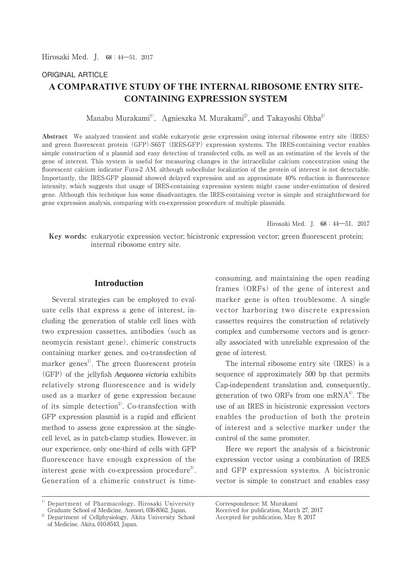# ORIGINAL ARTICLE  $\bf{A}\bf{COMPARATIVE}$  STUDY OF THE INTERNAL RIBOSOME ENTRY SITE-**CONTAINING EXPRESSION SYSTEM**

Manabu Murakami<sup>1)</sup>, Agnieszka M. Murakami<sup>2)</sup>, and Takayoshi Ohba<sup>2)</sup>

**Abstract** We analyzed transient and stable eukaryotic gene expression using internal ribosome entry site (IRES) and green fluorescent protein (GFP)-S65T (IRES-GFP) expression systems. The IRES-containing vector enables simple construction of a plasmid and easy detection of transfected cells, as well as an estimation of the levels of the gene of interest. This system is useful for measuring changes in the intracellular calcium concentration using the fluorescent calcium indicator Fura-2 AM, although subcellular localization of the protein of interest is not detectable. Importantly, the IRES-GFP plasmid showed delayed expression and an approximate 40% reduction in fluorescence intensity, which suggests that usage of IRES-containing expression system might cause under-estimation of desired gene. Although this technique has some disadvantages, the IRES-containing vector is simple and straightforward for gene expression analysis, comparing with co-expression procedure of multiple plasmids.

Hirosaki Med. I.  $68:44-51$ , 2017

 **Key words:** eukaryotic expression vector; bicistronic expression vector; green fluorescent protein; internal ribosome entry site.

# **Introduction**

 Several strategies can be employed to evaluate cells that express a gene of interest, including the generation of stable cell lines with two expression cassettes, antibodies (such as neomycin resistant gene), chimeric constructs containing marker genes, and co-transfection of marker genes<sup>1)</sup>. The green fluorescent protein (GFP) of the jellyfish *Aequorea victoria* exhibits relatively strong fluorescence and is widely used as a marker of gene expression because of its simple detection<sup>2)</sup>. Co-transfection with GFP expression plasmid is a rapid and efficient method to assess gene expression at the singlecell level, as in patch-clamp studies. However, in our experience, only one-third of cells with GFP fluorescence have enough expression of the interest gene with co-expression procedure<sup>3</sup>. Generation of a chimeric construct is time-

1) Department of Pharmacology, Hirosaki University Graduate School of Medicine, Aomori, 036-8562, Japan.

consuming, and maintaining the open reading frames (ORFs) of the gene of interest and marker gene is often troublesome. A single vector harboring two discrete expression cassettes requires the construction of relatively complex and cumbersome vectors and is generally associated with unreliable expression of the gene of interest.

 The internal ribosome entry site (IRES) is a sequence of approximately 500 bp that permits Cap-independent translation and, consequently, generation of two ORFs from one mRNA $^{4}$ . The use of an IRES in bicistronic expression vectors enables the production of both the protein of interest and a selective marker under the control of the same promoter.

 Here we report the analysis of a bicistronic expression vector using a combination of IRES and GFP expression systems. A bicistronic vector is simple to construct and enables easy

<sup>&</sup>lt;sup>2)</sup> Department of Cellphysiology, Akita University School of Medicine, Akita, 010-8543, Japan.

Correspondence: M. Murakami

Received for publication, March 27, 2017

Accepted for publication, May 8, 2017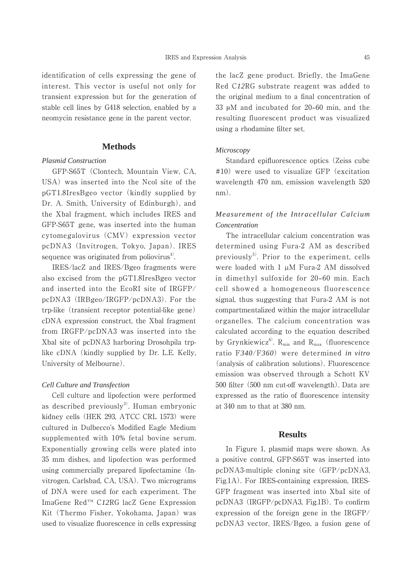identification of cells expressing the gene of interest. This vector is useful not only for transient expression but for the generation of stable cell lines by G418 selection, enabled by a neomycin resistance gene in the parent vector.

### **Methods**

### *Plasmid Construction*

 GFP-S65T (Clontech, Mountain View, CA, USA) was inserted into the Ncol site of the pGT1.8IresBgeo vector (kindly supplied by Dr. A. Smith, University of Edinburgh), and the Xbal fragment, which includes IRES and GFP-S65T gene, was inserted into the human cytomegalovirus (CMV) expression vector pcDNA3 (Invitrogen, Tokyo, Japan). IRES sequence was originated from poliovirus $4$ .

 IRES/lacZ and IRES/Bgeo fragments were also excised from the pGT1.8IresBgeo vector and inserted into the EcoRI site of IRGFP/ pcDNA3 (IRBgeo/IRGFP/pcDNA3). For the trp-like (transient receptor potential-like gene) cDNA expression construct, the Xbal fragment from IRGFP/pcDNA3 was inserted into the Xbal site of pcDNA3 harboring Drosohpila trplike cDNA (kindly supplied by Dr. L.E. Kelly, University of Melbourne).

### *Cell Culture and Transfection*

 Cell culture and lipofection were performed as described previously<sup>3)</sup>. Human embryonic kidney cells (HEK 293, ATCC CRL 1573) were cultured in Dulbecco's Modified Eagle Medium supplemented with 10% fetal bovine serum. Exponentially growing cells were plated into 35 mm dishes, and lipofection was performed using commercially prepared lipofectamine (Invitrogen, Carlsbad, CA, USA). Two micrograms of DNA were used for each experiment. The ImaGene Red™ C*12*RG lacZ Gene Expression Kit (Thermo Fisher, Yokohama, Japan) was used to visualize fluorescence in cells expressing the lacZ gene product. Briefly, the ImaGene Red C*12*RG substrate reagent was added to the original medium to a final concentration of 33  $\mu$ M and incubated for 20–60 min, and the resulting fluorescent product was visualized using a rhodamine filter set.

### *Microscopy*

 Standard epifluorescence optics (Zeiss cube #10) were used to visualize GFP (excitation wavelength 470 nm, emission wavelength 520 nm).

# *Measurement of the Intracellular Calcium Concentration*

 The intracellular calcium concentration was determined using Fura-2 AM as described previously $^{5)}$ . Prior to the experiment, cells were loaded with 1 µM Fura-2 AM dissolved in dimethyl sulfoxide for 20-60 min. Each cell showed a homogeneous fluorescence signal, thus suggesting that Fura-2 AM is not compartmentalized within the major intracellular organelles. The calcium concentration was calculated according to the equation described by Grynkiewicz<sup>6)</sup>. R<sub>min</sub> and R<sub>max</sub> (fluorescence ratio F*340*/F*360*) were determined *in vitro* (analysis of calibration solutions). Fluorescence emission was observed through a Schott KV 500 filter (500 nm cut-off wavelength). Data are expressed as the ratio of fluorescence intensity at 340 nm to that at 380 nm.

### **Results**

 In Figure 1, plasmid maps were shown. As a positive control, GFP-S65T was inserted into pcDNA3-multiple cloning site (GFP/pcDNA3, Fig.1A). For IRES-containing expression, IRES-GFP fragment was inserted into XbaI site of pcDNA3 (IRGFP/pcDNA3, Fig.1B). To confirm expression of the foreign gene in the IRGFP/ pcDNA3 vector, IRES/Bgeo, a fusion gene of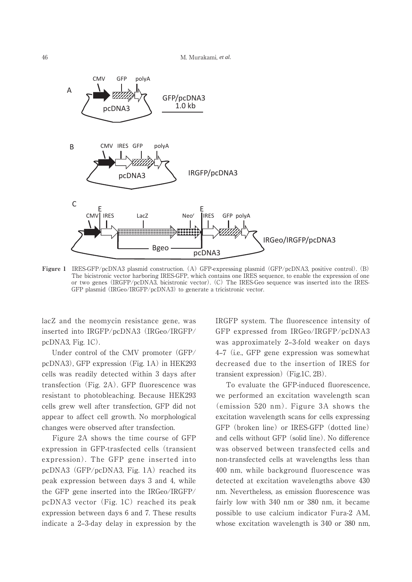

**Figure 1** IRES-GFP/pcDNA3 plasmid construction. (A) GFP-expressing plasmid (GFP/pcDNA3, positive control). (B) The bicistronic vector harboring IRES-GFP, which contains one IRES sequence, to enable the expression of one or two genes (IRGFP/pcDNA3, bicistronic vector). (C) The IRES-Geo sequence was inserted into the IRES-GFP plasmid (IRGeo/IRGFP/pcDNA3) to generate a tricistronic vector.

lacZ and the neomycin resistance gene, was inserted into IRGFP/pcDNA3 (IRGeo/IRGFP/ pcDNA3, Fig. 1C).

 Under control of the CMV promoter (GFP/ pcDNA3), GFP expression (Fig. 1A) in HEK293 cells was readily detected within 3 days after transfection (Fig. 2A). GFP fluorescence was resistant to photobleaching. Because HEK293 cells grew well after transfection, GFP did not appear to affect cell growth. No morphological changes were observed after transfection.

 Figure 2A shows the time course of GFP expression in GFP-trasfected cells (transient expression). The GFP gene inserted into pcDNA3 (GFP/pcDNA3, Fig. 1A) reached its peak expression between days 3 and 4, while the GFP gene inserted into the IRGeo/IRGFP/ pcDNA3 vector (Fig. 1C) reached its peak expression between days 6 and 7. These results indicate a 2‒3-day delay in expression by the IRGFP system. The fluorescence intensity of GFP expressed from IRGeo/IRGFP/pcDNA3 was approximately 2-3-fold weaker on days 4‒7 (i.e., GFP gene expression was somewhat decreased due to the insertion of IRES for transient expression)(Fig.1C, 2B).

 To evaluate the GFP-induced fluorescence, we performed an excitation wavelength scan (emission 520 nm). Figure 3A shows the excitation wavelength scans for cells expressing GFP (broken line) or IRES-GFP (dotted line) and cells without GFP (solid line). No difference was observed between transfected cells and non-transfected cells at wavelengths less than 400 nm, while background fluorescence was detected at excitation wavelengths above 430 nm. Nevertheless, as emission fluorescence was fairly low with 340 nm or 380 nm, it became possible to use calcium indicator Fura-2 AM, whose excitation wavelength is 340 or 380 nm,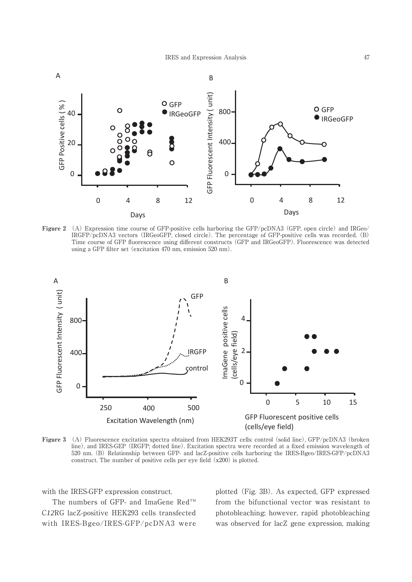

**Figure 2** (A) Expression time course of GFP-positive cells harboring the GFP/pcDNA3 (GFP, open circle) and IRGeo/ IRGFP/pcDNA3 vectors (IRGeoGFP, closed circle). The percentage of GFP-positive cells was recorded. (B) Time course of GFP fluorescence using different constructs (GFP and IRGeoGFP). Fluorescence was detected using a GFP filter set (excitation 470 nm, emission 520 nm).



**Figure 3** (A) Fluorescence excitation spectra obtained from HEK293T cells: control (solid line), GFP/pcDNA3 (broken line), and IRES-GEP (IRGFP; dotted line). Excitation spectra were recorded at a fixed emission wavelength of 520 nm. (B) Relationship between GFP- and lacZ-positive cells harboring the IRES-Bgeo/IRES-GFP/pcDNA3 construct. The number of positive cells per eye field  $(x200)$  is plotted.

with the IRES-GFP expression construct.

 The numbers of GFP- and ImaGene Red™ C*12*RG lacZ-positive HEK293 cells transfected with IRES-Bgeo/IRES-GFP/pcDNA3 were plotted (Fig. 3B). As expected, GFP expressed from the bifunctional vector was resistant to photobleaching; however, rapid photobleaching was observed for lacZ gene expression, making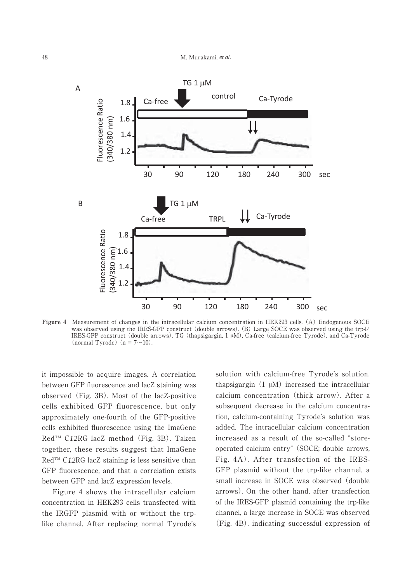

**Figure 4** Measurement of changes in the intracellular calcium concentration in HEK293 cells. (A) Endogenous SOCE was observed using the IRES-GFP construct (double arrows). (B) Large SOCE was observed using the trp-l/ IRES-GFP construct (double arrows). TG (thapsigargin, 1 ȝM), Ca-free (calcium-free Tyrode), and Ca-Tyrode (normal Tyrode)  $(n = 7 \sim 10)$ .

it impossible to acquire images. A correlation between GFP fluorescence and lacZ staining was observed (Fig. 3B). Most of the lacZ-positive cells exhibited GFP fluorescence, but only approximately one-fourth of the GFP-positive cells exhibited fluorescence using the ImaGene Red™ C*12*RG lacZ method (Fig. 3B). Taken together, these results suggest that ImaGene Red™ C*12*RG lacZ staining is less sensitive than GFP fluorescence, and that a correlation exists between GFP and lacZ expression levels.

 Figure 4 shows the intracellular calcium concentration in HEK293 cells transfected with the IRGFP plasmid with or without the trplike channel. After replacing normal Tyrode's solution with calcium-free Tyrode's solution, thapsigargin  $(1 \mu M)$  increased the intracellular calcium concentration (thick arrow). After a subsequent decrease in the calcium concentration, calcium-containing Tyrode's solution was added. The intracellular calcium concentration increased as a result of the so-called "storeoperated calcium entry" (SOCE; double arrows, Fig. 4A). After transfection of the IRES-GFP plasmid without the trp-like channel, a small increase in SOCE was observed (double arrows). On the other hand, after transfection of the IRES-GFP plasmid containing the trp-like channel, a large increase in SOCE was observed (Fig. 4B), indicating successful expression of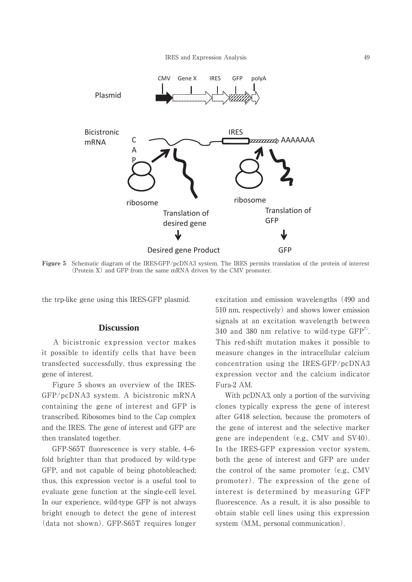

**Figure 5** Schematic diagram of the IRES-GFP/pcDNA3 system. The IRES permits translation of the protein of interest (Protein X) and GFP from the same mRNA driven by the CMV promoter.

the trp-like gene using this IRES-GFP plasmid.

### **Discussion**

 A bicistronic expression vector makes it possible to identify cells that have been transfected successfully, thus expressing the gene of interest.

 Figure 5 shows an overview of the IRES-GFP/pcDNA3 system. A bicistronic mRNA containing the gene of interest and GFP is transcribed. Ribosomes bind to the Cap complex and the IRES. The gene of interest and GFP are then translated together.

GFP-S65T fluorescence is very stable, 4-6fold brighter than that produced by wild-type GFP, and not capable of being photobleached; thus, this expression vector is a useful tool to evaluate gene function at the single-cell level. In our experience, wild-type GFP is not always bright enough to detect the gene of interest (data not shown). GFP-S65T requires longer excitation and emission wavelengths (490 and 510 nm, respectively) and shows lower emission signals at an excitation wavelength between 340 and 380 nm relative to wild-type  $GFP^7$ . This red-shift mutation makes it possible to measure changes in the intracellular calcium concentration using the IRES-GFP/pcDNA3 expression vector and the calcium indicator Fura-2 AM.

 With pcDNA3, only a portion of the surviving clones typically express the gene of interest after G418 selection, because the promoters of the gene of interest and the selective marker gene are independent (e.g., CMV and SV40). In the IRES-GFP expression vector system, both the gene of interest and GFP are under the control of the same promoter (e.g., CMV promoter). The expression of the gene of interest is determined by measuring GFP fluorescence. As a result, it is also possible to obtain stable cell lines using this expression system (M.M., personal communication).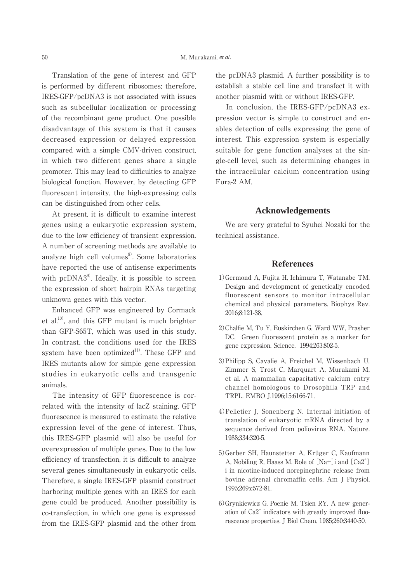Translation of the gene of interest and GFP is performed by different ribosomes; therefore, IRES-GFP/pcDNA3 is not associated with issues such as subcellular localization or processing of the recombinant gene product. One possible disadvantage of this system is that it causes decreased expression or delayed expression compared with a simple CMV-driven construct, in which two different genes share a single promoter. This may lead to difficulties to analyze biological function. However, by detecting GFP fluorescent intensity, the high-expressing cells can be distinguished from other cells.

 At present, it is difficult to examine interest genes using a eukaryotic expression system, due to the low efficiency of transient expression. A number of screening methods are available to analyze high cell volumes $\delta$ . Some laboratories have reported the use of antisense experiments with  $pcDNA3<sup>9</sup>$ . Ideally, it is possible to screen the expression of short hairpin RNAs targeting unknown genes with this vector.

 Enhanced GFP was engineered by Cormack et al.10), and this GFP mutant is much brighter than GFP-S65T, which was used in this study. In contrast, the conditions used for the IRES system have been optimized<sup>11)</sup>. These GFP and IRES mutants allow for simple gene expression studies in eukaryotic cells and transgenic animals.

 The intensity of GFP fluorescence is correlated with the intensity of lacZ staining. GFP fluorescence is measured to estimate the relative expression level of the gene of interest. Thus, this IRES-GFP plasmid will also be useful for overexpression of multiple genes. Due to the low efficiency of transfection, it is difficult to analyze several genes simultaneously in eukaryotic cells. Therefore, a single IRES-GFP plasmid construct harboring multiple genes with an IRES for each gene could be produced. Another possibility is co-transfection, in which one gene is expressed from the IRES-GFP plasmid and the other from the pcDNA3 plasmid. A further possibility is to establish a stable cell line and transfect it with another plasmid with or without IRES-GFP.

 In conclusion, the IRES-GFP/pcDNA3 expression vector is simple to construct and enables detection of cells expressing the gene of interest. This expression system is especially suitable for gene function analyses at the single-cell level, such as determining changes in the intracellular calcium concentration using Fura-2 AM.

# **Acknowledgements**

 We are very grateful to Syuhei Nozaki for the technical assistance.

## **References**

- 1)Germond A, Fujita H, Ichimura T, Watanabe TM. Design and development of genetically encoded fluorescent sensors to monitor intracellular chemical and physical parameters. Biophys Rev. 2016;8:121-38.
- 2)Chalfie M, Tu Y, Euskirchen G, Ward WW, Prasher DC. Green fluorescent protein as a marker for gene expression. Science. 1994;263:802-5.
- 3)Philipp S, Cavalie A, Freichel M, Wissenbach U, Zimmer S, Trost C, Marquart A, Murakami M, et al. A mammalian capacitative calcium entry channel homologous to Drosophila TRP and TRPL. EMBO J.1996;15:6166-71.
- 4)Pelletier J, Sonenberg N. Internal initiation of translation of eukaryotic mRNA directed by a sequence derived from poliovirus RNA. Nature. 1988;334:320-5.
- 5)Gerber SH, Haunstetter A, Krüger C, Kaufmann A, Nobiling R, Haass M. Role of  $[Na+]$  i and  $[Ca2^+]$ i in nicotine-induced norepinephrine release from bovine adrenal chromaffin cells. Am J Physiol. 1995;269:c572-81.
- 6)Grynkiewicz G, Poenie M, Tsien RY. A new generation of Ca2<sup>+</sup> indicators with greatly improved fluorescence properties. J Biol Chem. 1985;260:3440-50.